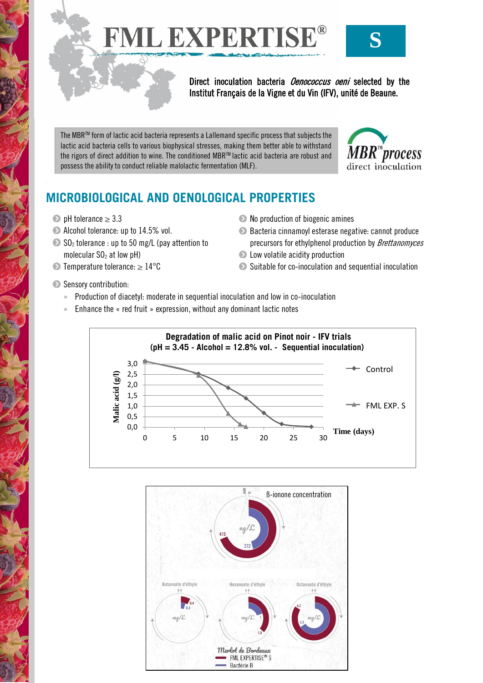FML EXPERTISE®



Direct inoculation bacteria *Oenococcus oeni* selected by the Institut Français de la Vigne et du Vin (IFV), unité de Beaune.

The MBRTM form of lactic acid bacteria represents a Lallemand specific process that subjects the lactic acid bacteria cells to various biophysical stresses, making them better able to withstand the rigors of direct addition to wine. The conditioned MBR™ lactic acid bacteria are robust and possess the ability to conduct reliable malolactic fermentation (MLF).



# **MICROBIOLOGICAL AND OENOLOGICAL PROPERTIES**

- $\bullet$  pH tolerance  $\geq 3.3$
- Alcohol tolerance: up to 14.5% vol.
- $\bullet$  SO<sub>2</sub> tolerance : up to 50 mg/L (pay attention to molecular  $SO<sub>2</sub>$  at low pH)
- $\bullet$  Temperature tolerance:  $\geq 14^{\circ}$ C
- Sensory contribution:
- $\bullet$  No production of biogenic amines
- Bacteria cinnamoyl esterase negative: cannot produce precursors for ethylphenol production by Brettanomyces
- **Example 2** Low volatile acidity production
- Suitable for co-inoculation and sequential inoculation
- Production of diacetyl: moderate in sequential inoculation and low in co-inoculation
- Enhance the « red fruit » expression, without any dominant lactic notes